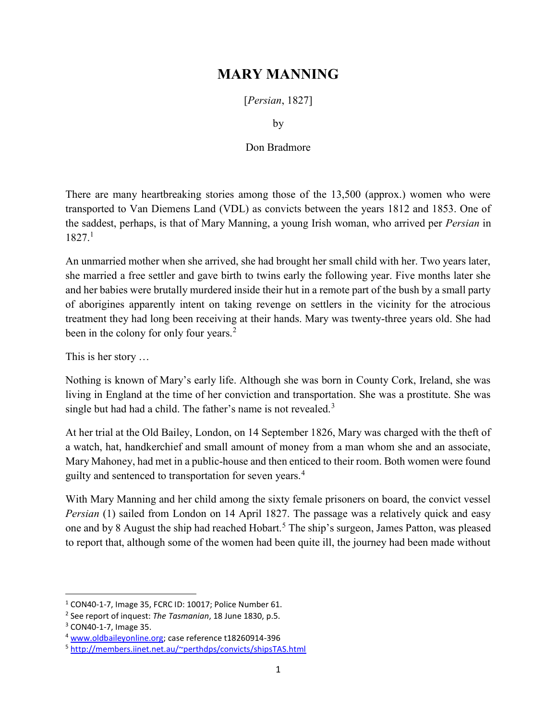## MARY MANNING

[Persian, 1827]

by

## Don Bradmore

There are many heartbreaking stories among those of the 13,500 (approx.) women who were transported to Van Diemens Land (VDL) as convicts between the years 1812 and 1853. One of the saddest, perhaps, is that of Mary Manning, a young Irish woman, who arrived per Persian in  $1827.<sup>1</sup>$ 

An unmarried mother when she arrived, she had brought her small child with her. Two years later, she married a free settler and gave birth to twins early the following year. Five months later she and her babies were brutally murdered inside their hut in a remote part of the bush by a small party of aborigines apparently intent on taking revenge on settlers in the vicinity for the atrocious treatment they had long been receiving at their hands. Mary was twenty-three years old. She had been in the colony for only four years.<sup>2</sup>

This is her story …

Nothing is known of Mary's early life. Although she was born in County Cork, Ireland, she was living in England at the time of her conviction and transportation. She was a prostitute. She was single but had had a child. The father's name is not revealed.<sup>3</sup>

At her trial at the Old Bailey, London, on 14 September 1826, Mary was charged with the theft of a watch, hat, handkerchief and small amount of money from a man whom she and an associate, Mary Mahoney, had met in a public-house and then enticed to their room. Both women were found guilty and sentenced to transportation for seven years.<sup>4</sup>

With Mary Manning and her child among the sixty female prisoners on board, the convict vessel Persian (1) sailed from London on 14 April 1827. The passage was a relatively quick and easy one and by 8 August the ship had reached Hobart.<sup>5</sup> The ship's surgeon, James Patton, was pleased to report that, although some of the women had been quite ill, the journey had been made without

 $\overline{a}$ 

<sup>1</sup> CON40-1-7, Image 35, FCRC ID: 10017; Police Number 61.

<sup>&</sup>lt;sup>2</sup> See report of inquest: The Tasmanian, 18 June 1830, p.5.

<sup>&</sup>lt;sup>3</sup> CON40-1-7, Image 35.

<sup>4</sup> www.oldbaileyonline.org; case reference t18260914-396

<sup>5</sup> http://members.iinet.net.au/~perthdps/convicts/shipsTAS.html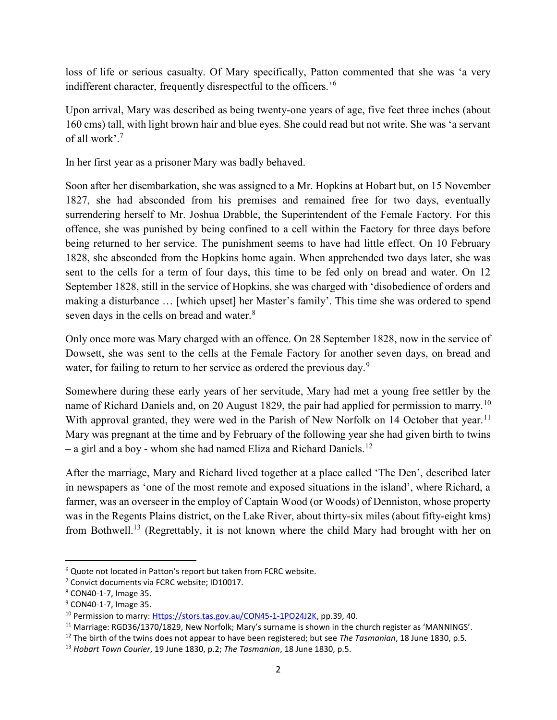loss of life or serious casualty. Of Mary specifically, Patton commented that she was 'a very indifferent character, frequently disrespectful to the officers.'<sup>6</sup>

Upon arrival, Mary was described as being twenty-one years of age, five feet three inches (about 160 cms) tall, with light brown hair and blue eyes. She could read but not write. She was 'a servant of all work'.<sup>7</sup>

In her first year as a prisoner Mary was badly behaved.

Soon after her disembarkation, she was assigned to a Mr. Hopkins at Hobart but, on 15 November 1827, she had absconded from his premises and remained free for two days, eventually surrendering herself to Mr. Joshua Drabble, the Superintendent of the Female Factory. For this offence, she was punished by being confined to a cell within the Factory for three days before being returned to her service. The punishment seems to have had little effect. On 10 February 1828, she absconded from the Hopkins home again. When apprehended two days later, she was sent to the cells for a term of four days, this time to be fed only on bread and water. On 12 September 1828, still in the service of Hopkins, she was charged with 'disobedience of orders and making a disturbance … [which upset] her Master's family'. This time she was ordered to spend seven days in the cells on bread and water. $8$ 

Only once more was Mary charged with an offence. On 28 September 1828, now in the service of Dowsett, she was sent to the cells at the Female Factory for another seven days, on bread and water, for failing to return to her service as ordered the previous day.<sup>9</sup>

Somewhere during these early years of her servitude, Mary had met a young free settler by the name of Richard Daniels and, on 20 August 1829, the pair had applied for permission to marry.<sup>10</sup> With approval granted, they were wed in the Parish of New Norfolk on 14 October that year.<sup>11</sup> Mary was pregnant at the time and by February of the following year she had given birth to twins – a girl and a boy - whom she had named Eliza and Richard Daniels.<sup>12</sup>

After the marriage, Mary and Richard lived together at a place called 'The Den', described later in newspapers as 'one of the most remote and exposed situations in the island', where Richard, a farmer, was an overseer in the employ of Captain Wood (or Woods) of Denniston, whose property was in the Regents Plains district, on the Lake River, about thirty-six miles (about fifty-eight kms) from Bothwell.<sup>13</sup> (Regrettably, it is not known where the child Mary had brought with her on

<sup>&</sup>lt;sup>6</sup> Quote not located in Patton's report but taken from FCRC website.

<sup>7</sup> Convict documents via FCRC website; ID10017.

<sup>8</sup> CON40-1-7, Image 35.

<sup>&</sup>lt;sup>9</sup> CON40-1-7, Image 35.

<sup>&</sup>lt;sup>10</sup> Permission to marry: Https://stors.tas.gov.au/CON45-1-1PO24J2K, pp.39, 40.

<sup>&</sup>lt;sup>11</sup> Marriage: RGD36/1370/1829, New Norfolk; Mary's surname is shown in the church register as 'MANNINGS'.

<sup>&</sup>lt;sup>12</sup> The birth of the twins does not appear to have been registered; but see The Tasmanian, 18 June 1830, p.5.

<sup>&</sup>lt;sup>13</sup> Hobart Town Courier, 19 June 1830, p.2; The Tasmanian, 18 June 1830, p.5.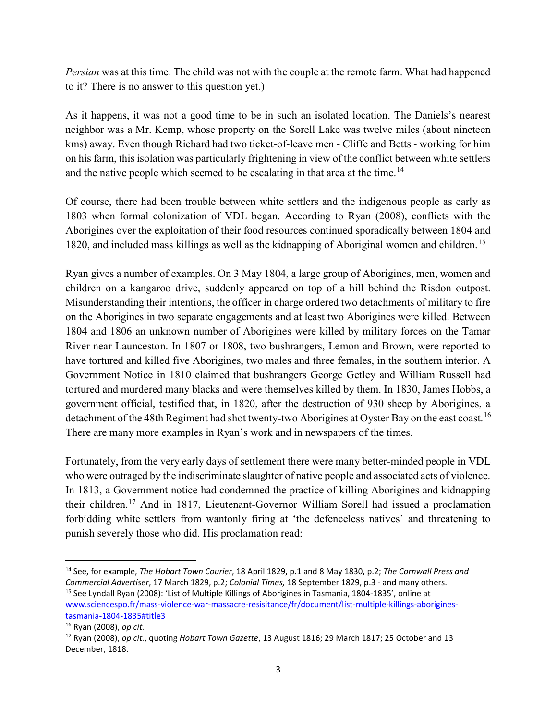Persian was at this time. The child was not with the couple at the remote farm. What had happened to it? There is no answer to this question yet.)

As it happens, it was not a good time to be in such an isolated location. The Daniels's nearest neighbor was a Mr. Kemp, whose property on the Sorell Lake was twelve miles (about nineteen kms) away. Even though Richard had two ticket-of-leave men - Cliffe and Betts - working for him on his farm, this isolation was particularly frightening in view of the conflict between white settlers and the native people which seemed to be escalating in that area at the time.<sup>14</sup>

Of course, there had been trouble between white settlers and the indigenous people as early as 1803 when formal colonization of VDL began. According to Ryan (2008), conflicts with the Aborigines over the exploitation of their food resources continued sporadically between 1804 and 1820, and included mass killings as well as the kidnapping of Aboriginal women and children.<sup>15</sup>

Ryan gives a number of examples. On 3 May 1804, a large group of Aborigines, men, women and children on a kangaroo drive, suddenly appeared on top of a hill behind the Risdon outpost. Misunderstanding their intentions, the officer in charge ordered two detachments of military to fire on the Aborigines in two separate engagements and at least two Aborigines were killed. Between 1804 and 1806 an unknown number of Aborigines were killed by military forces on the Tamar River near Launceston. In 1807 or 1808, two bushrangers, Lemon and Brown, were reported to have tortured and killed five Aborigines, two males and three females, in the southern interior. A Government Notice in 1810 claimed that bushrangers George Getley and William Russell had tortured and murdered many blacks and were themselves killed by them. In 1830, James Hobbs, a government official, testified that, in 1820, after the destruction of 930 sheep by Aborigines, a detachment of the 48th Regiment had shot twenty-two Aborigines at Oyster Bay on the east coast.<sup>16</sup> There are many more examples in Ryan's work and in newspapers of the times.

Fortunately, from the very early days of settlement there were many better-minded people in VDL who were outraged by the indiscriminate slaughter of native people and associated acts of violence. In 1813, a Government notice had condemned the practice of killing Aborigines and kidnapping their children.<sup>17</sup> And in 1817, Lieutenant-Governor William Sorell had issued a proclamation forbidding white settlers from wantonly firing at 'the defenceless natives' and threatening to punish severely those who did. His proclamation read:

<sup>&</sup>lt;sup>14</sup> See, for example, The Hobart Town Courier, 18 April 1829, p.1 and 8 May 1830, p.2; The Cornwall Press and Commercial Advertiser, 17 March 1829, p.2; Colonial Times, 18 September 1829, p.3 - and many others. <sup>15</sup> See Lyndall Ryan (2008): 'List of Multiple Killings of Aborigines in Tasmania, 1804-1835', online at www.sciencespo.fr/mass-violence-war-massacre-resisitance/fr/document/list-multiple-killings-aborigines-

tasmania-1804-1835#title3

<sup>16</sup> Ryan (2008), op cit.

<sup>&</sup>lt;sup>17</sup> Ryan (2008), op cit., quoting Hobart Town Gazette, 13 August 1816; 29 March 1817; 25 October and 13 December, 1818.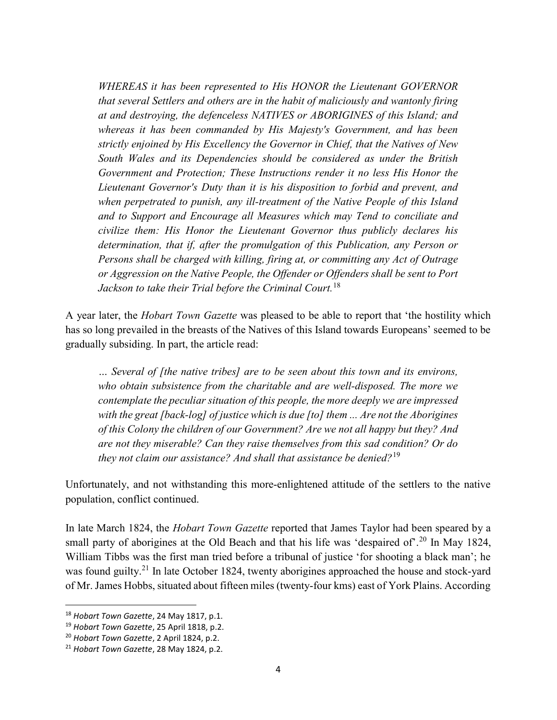WHEREAS it has been represented to His HONOR the Lieutenant GOVERNOR that several Settlers and others are in the habit of maliciously and wantonly firing at and destroying, the defenceless NATIVES or ABORIGINES of this Island; and whereas it has been commanded by His Majesty's Government, and has been strictly enjoined by His Excellency the Governor in Chief, that the Natives of New South Wales and its Dependencies should be considered as under the British Government and Protection; These Instructions render it no less His Honor the Lieutenant Governor's Duty than it is his disposition to forbid and prevent, and when perpetrated to punish, any ill-treatment of the Native People of this Island and to Support and Encourage all Measures which may Tend to conciliate and civilize them: His Honor the Lieutenant Governor thus publicly declares his determination, that if, after the promulgation of this Publication, any Person or Persons shall be charged with killing, firing at, or committing any Act of Outrage or Aggression on the Native People, the Offender or Offenders shall be sent to Port Jackson to take their Trial before the Criminal Court.<sup>18</sup>

A year later, the Hobart Town Gazette was pleased to be able to report that 'the hostility which has so long prevailed in the breasts of the Natives of this Island towards Europeans' seemed to be gradually subsiding. In part, the article read:

… Several of [the native tribes] are to be seen about this town and its environs, who obtain subsistence from the charitable and are well-disposed. The more we contemplate the peculiar situation of this people, the more deeply we are impressed with the great [back-log] of justice which is due [to] them ... Are not the Aborigines of this Colony the children of our Government? Are we not all happy but they? And are not they miserable? Can they raise themselves from this sad condition? Or do they not claim our assistance? And shall that assistance be denied?<sup>19</sup>

Unfortunately, and not withstanding this more-enlightened attitude of the settlers to the native population, conflict continued.

In late March 1824, the *Hobart Town Gazette* reported that James Taylor had been speared by a small party of aborigines at the Old Beach and that his life was 'despaired of'.<sup>20</sup> In May 1824, William Tibbs was the first man tried before a tribunal of justice 'for shooting a black man'; he was found guilty.<sup>21</sup> In late October 1824, twenty aborigines approached the house and stock-yard of Mr. James Hobbs, situated about fifteen miles (twenty-four kms) east of York Plains. According

<sup>&</sup>lt;sup>18</sup> Hobart Town Gazette, 24 May 1817, p.1.

<sup>&</sup>lt;sup>19</sup> Hobart Town Gazette, 25 April 1818, p.2.

<sup>&</sup>lt;sup>20</sup> Hobart Town Gazette, 2 April 1824, p.2.

<sup>&</sup>lt;sup>21</sup> Hobart Town Gazette, 28 May 1824, p.2.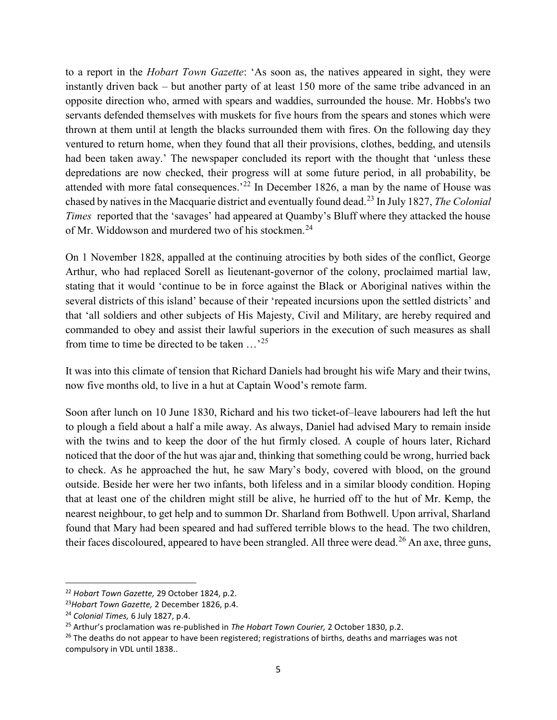to a report in the *Hobart Town Gazette*: 'As soon as, the natives appeared in sight, they were instantly driven back – but another party of at least 150 more of the same tribe advanced in an opposite direction who, armed with spears and waddies, surrounded the house. Mr. Hobbs's two servants defended themselves with muskets for five hours from the spears and stones which were thrown at them until at length the blacks surrounded them with fires. On the following day they ventured to return home, when they found that all their provisions, clothes, bedding, and utensils had been taken away.' The newspaper concluded its report with the thought that 'unless these depredations are now checked, their progress will at some future period, in all probability, be attended with more fatal consequences.<sup> $22$ </sup> In December 1826, a man by the name of House was chased by natives in the Macquarie district and eventually found dead.<sup>23</sup> In July 1827, *The Colonial* Times reported that the 'savages' had appeared at Quamby's Bluff where they attacked the house of Mr. Widdowson and murdered two of his stockmen.<sup>24</sup>

On 1 November 1828, appalled at the continuing atrocities by both sides of the conflict, George Arthur, who had replaced Sorell as lieutenant-governor of the colony, proclaimed martial law, stating that it would 'continue to be in force against the Black or Aboriginal natives within the several districts of this island' because of their 'repeated incursions upon the settled districts' and that 'all soldiers and other subjects of His Majesty, Civil and Military, are hereby required and commanded to obey and assist their lawful superiors in the execution of such measures as shall from time to time be directed to be taken  $\ldots$ <sup>25</sup>

It was into this climate of tension that Richard Daniels had brought his wife Mary and their twins, now five months old, to live in a hut at Captain Wood's remote farm.

Soon after lunch on 10 June 1830, Richard and his two ticket-of–leave labourers had left the hut to plough a field about a half a mile away. As always, Daniel had advised Mary to remain inside with the twins and to keep the door of the hut firmly closed. A couple of hours later, Richard noticed that the door of the hut was ajar and, thinking that something could be wrong, hurried back to check. As he approached the hut, he saw Mary's body, covered with blood, on the ground outside. Beside her were her two infants, both lifeless and in a similar bloody condition. Hoping that at least one of the children might still be alive, he hurried off to the hut of Mr. Kemp, the nearest neighbour, to get help and to summon Dr. Sharland from Bothwell. Upon arrival, Sharland found that Mary had been speared and had suffered terrible blows to the head. The two children, their faces discoloured, appeared to have been strangled. All three were dead.<sup>26</sup> An axe, three guns,

<sup>&</sup>lt;sup>22</sup> Hobart Town Gazette, 29 October 1824, p.2.

<sup>&</sup>lt;sup>23</sup>Hobart Town Gazette, 2 December 1826, p.4.

<sup>&</sup>lt;sup>24</sup> Colonial Times, 6 July 1827, p.4.

<sup>&</sup>lt;sup>25</sup> Arthur's proclamation was re-published in *The Hobart Town Courier*, 2 October 1830, p.2.

 $26$  The deaths do not appear to have been registered; registrations of births, deaths and marriages was not compulsory in VDL until 1838..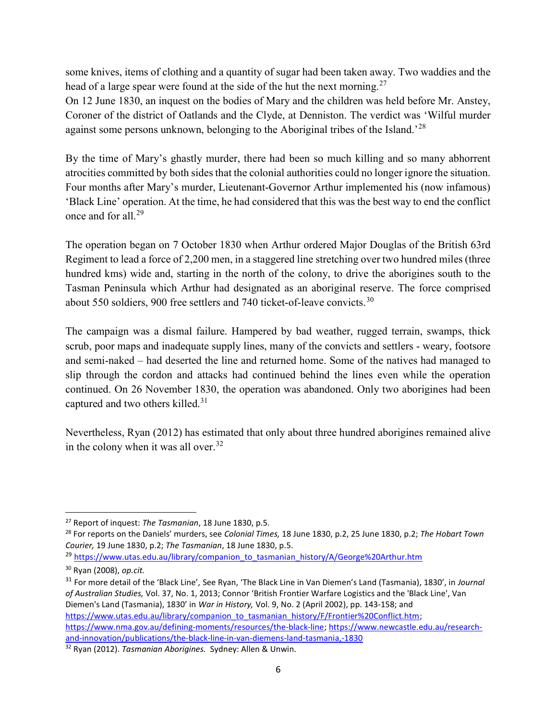some knives, items of clothing and a quantity of sugar had been taken away. Two waddies and the head of a large spear were found at the side of the hut the next morning.<sup>27</sup>

On 12 June 1830, an inquest on the bodies of Mary and the children was held before Mr. Anstey, Coroner of the district of Oatlands and the Clyde, at Denniston. The verdict was 'Wilful murder against some persons unknown, belonging to the Aboriginal tribes of the Island.<sup>228</sup>

By the time of Mary's ghastly murder, there had been so much killing and so many abhorrent atrocities committed by both sides that the colonial authorities could no longer ignore the situation. Four months after Mary's murder, Lieutenant-Governor Arthur implemented his (now infamous) 'Black Line' operation. At the time, he had considered that this was the best way to end the conflict once and for all.<sup>29</sup>

The operation began on 7 October 1830 when Arthur ordered Major Douglas of the British 63rd Regiment to lead a force of 2,200 men, in a staggered line stretching over two hundred miles (three hundred kms) wide and, starting in the north of the colony, to drive the aborigines south to the Tasman Peninsula which Arthur had designated as an aboriginal reserve. The force comprised about 550 soldiers, 900 free settlers and 740 ticket-of-leave convicts.<sup>30</sup>

The campaign was a dismal failure. Hampered by bad weather, rugged terrain, swamps, thick scrub, poor maps and inadequate supply lines, many of the convicts and settlers - weary, footsore and semi-naked – had deserted the line and returned home. Some of the natives had managed to slip through the cordon and attacks had continued behind the lines even while the operation continued. On 26 November 1830, the operation was abandoned. Only two aborigines had been captured and two others killed.<sup>31</sup>

Nevertheless, Ryan (2012) has estimated that only about three hundred aborigines remained alive in the colony when it was all over.<sup>32</sup>

<sup>29</sup> https://www.utas.edu.au/library/companion\_to\_tasmanian\_history/A/George%20Arthur.htm

<sup>31</sup> For more detail of the 'Black Line', See Ryan, 'The Black Line in Van Diemen's Land (Tasmania), 1830', in Journal of Australian Studies, Vol. 37, No. 1, 2013; Connor 'British Frontier Warfare Logistics and the 'Black Line', Van Diemen's Land (Tasmania), 1830' in War in History, Vol. 9, No. 2 (April 2002), pp. 143-158; and https://www.utas.edu.au/library/companion\_to\_tasmanian\_history/F/Frontier%20Conflict.htm; https://www.nma.gov.au/defining-moments/resources/the-black-line; https://www.newcastle.edu.au/researchand-innovation/publications/the-black-line-in-van-diemens-land-tasmania,-1830

<sup>32</sup> Ryan (2012). Tasmanian Aborigines. Sydney: Allen & Unwin.

<sup>&</sup>lt;sup>27</sup> Report of inquest: The Tasmanian, 18 June 1830, p.5.

<sup>&</sup>lt;sup>28</sup> For reports on the Daniels' murders, see Colonial Times, 18 June 1830, p.2, 25 June 1830, p.2; The Hobart Town Courier, 19 June 1830, p.2; The Tasmanian, 18 June 1830, p.5.

<sup>30</sup> Ryan (2008), op.cit.